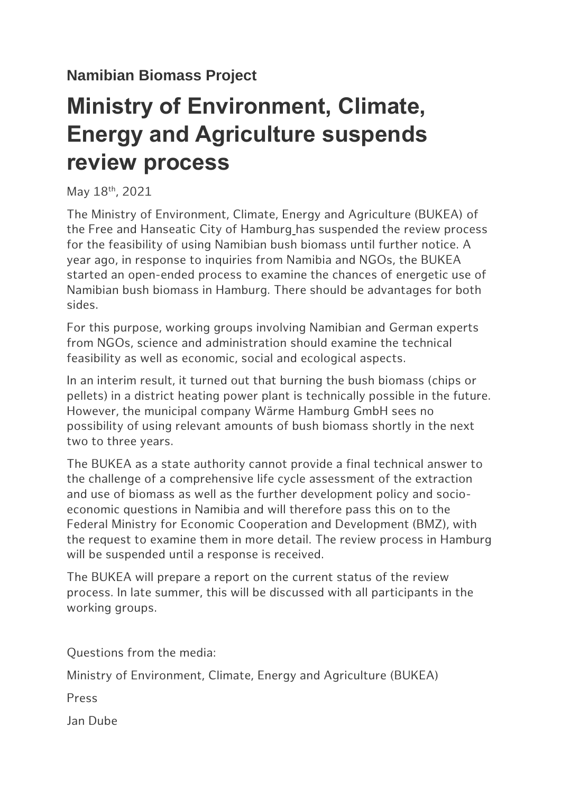## **Ministry of Environment, Climate, Energy and Agriculture suspends review process**

May 18<sup>th</sup>, 2021

The Ministry of Environment, Climate, Energy and Agriculture (BUKEA) of the Free and Hanseatic City of Hamburg has suspended the review process for the feasibility of using Namibian bush biomass until further notice. A year ago, in response to inquiries from Namibia and NGOs, the BUKEA started an open-ended process to examine the chances of energetic use of Namibian bush biomass in Hamburg. There should be advantages for both sides.

For this purpose, working groups involving Namibian and German experts from NGOs, science and administration should examine the technical feasibility as well as economic, social and ecological aspects.

In an interim result, it turned out that burning the bush biomass (chips or pellets) in a district heating power plant is technically possible in the future. However, the municipal company Wärme Hamburg GmbH sees no possibility of using relevant amounts of bush biomass shortly in the next two to three years.

The BUKEA as a state authority cannot provide a final technical answer to the challenge of a comprehensive life cycle assessment of the extraction and use of biomass as well as the further development policy and socioeconomic questions in Namibia and will therefore pass this on to the Federal Ministry for Economic Cooperation and Development (BMZ), with the request to examine them in more detail. The review process in Hamburg will be suspended until a response is received.

The BUKEA will prepare a report on the current status of the review process. In late summer, this will be discussed with all participants in the working groups.

Questions from the media:

Ministry of Environment, Climate, Energy and Agriculture (BUKEA)

Press

Jan Dube